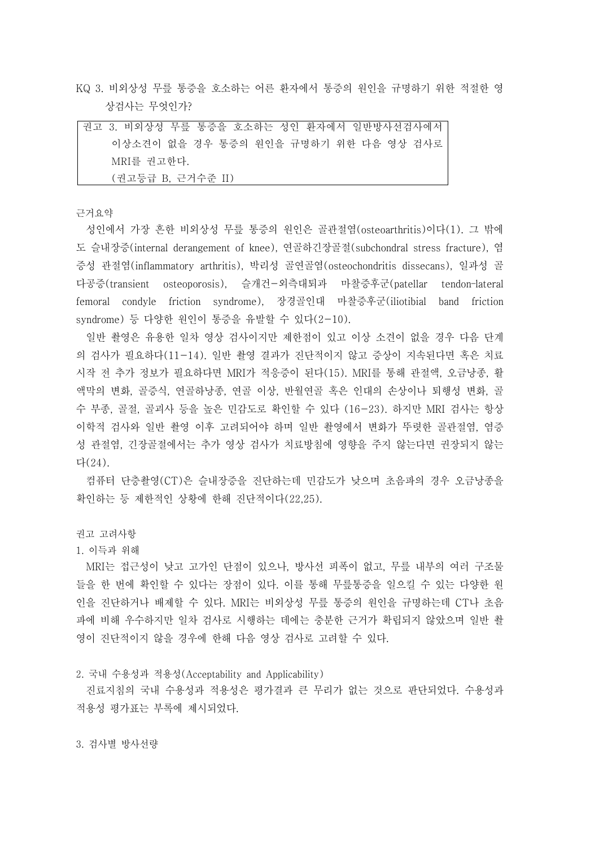KQ 3. 비외상성 무릎 통증을 호소하는 어른 환자에서 통증의 원인을 규명하기 위한 적절한 영 상검사는 무엇인가?

| 권고 3. 비외상성 무릎 통증을 호소하는 성인 환자에서 일반방사선검사에서 |
|------------------------------------------|
| 이상소견이 없을 경우 통증의 원인을 규명하기 위한 다음 영상 검사로    |
| MRI를 권고한다.                               |
| (권고등급 B, 근거수준 II)                        |

근거요약

성인에서 가장 흔한 비외상성 무릎 통증의 원인은 골관절염(osteoarthritis)이다(1). 그 밖에 도 슬내장증(internal derangement of knee), 연골하긴장골절(subchondral stress fracture), 염 증성 관절염(inflammatory arthritis), 박리성 골연골염(osteochondritis dissecans), 일과성 골 다공증(transient osteoporosis), 슬개건-외측대퇴과 마찰증후군(patellar tendon–lateral femoral condyle friction syndrome), 장경골인대 마찰증후군(iliotibial band friction syndrome) 등 다양한 원인이 통증을 유발할 수 있다(2-10).

일반 촬영은 유용한 일차 영상 검사이지만 제한점이 있고 이상 소견이 없을 경우 다음 단계 의 검사가 필요하다(11-14). 일반 촬영 결과가 진단적이지 않고 증상이 지속된다면 혹은 치료 시작 전 추가 정보가 필요하다면 MRI가 적응증이 된다(15). MRI를 통해 관절액, 오금낭종, 활 액막의 변화, 골증식, 연골하낭종, 연골 이상, 반월연골 혹은 인대의 손상이나 퇴행성 변화, 골 수 부종, 골절, 골괴사 등을 높은 민감도로 확인할 수 있다 (16-23). 하지만 MRI 검사는 항상 이학적 검사와 일반 촬영 이후 고려되어야 하며 일반 촬영에서 변화가 뚜렷한 골관절염, 염증 성 관절염, 긴장골절에서는 추가 영상 검사가 치료방침에 영향을 주지 않는다면 권장되지 않는 다(24).

컴퓨터 단층촬영(CT)은 슬내장증을 진단하는데 민감도가 낮으며 초음파의 경우 오금낭종을 확인하는 등 제한적인 상황에 한해 진단적이다(22,25).

권고 고려사항

1. 이득과 위해

MRI는 접근성이 낮고 고가인 단점이 있으나, 방사선 피폭이 없고, 무릎 내부의 여러 구조물 들을 한 번에 확인할 수 있다는 장점이 있다. 이를 통해 무릎통증을 일으킬 수 있는 다양한 원 인을 진단하거나 배제할 수 있다. MRI는 비외상성 무릎 통증의 원인을 규명하는데 CT나 초음 파에 비해 우수하지만 일차 검사로 시행하는 데에는 충분한 근거가 확립되지 않았으며 일반 촬 영이 진단적이지 않을 경우에 한해 다음 영상 검사로 고려할 수 있다.

2. 국내 수용성과 적용성(Acceptability and Applicability)

진료지침의 국내 수용성과 적용성은 평가결과 큰 무리가 없는 것으로 판단되었다. 수용성과 적용성 평가표는 부록에 제시되었다.

3. 검사별 방사선량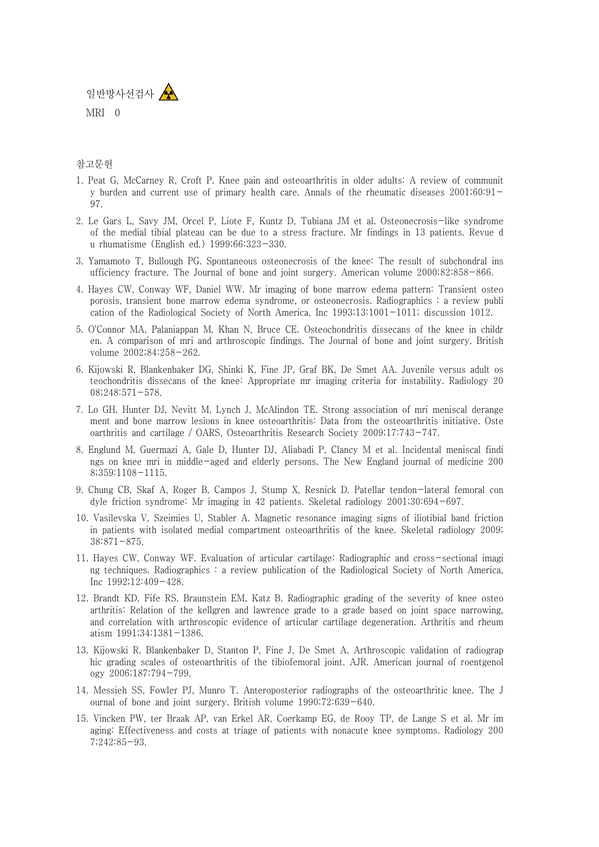

## 참고문헌

- 1. Peat G, McCarney R, Croft P. Knee pain and osteoarthritis in older adults: A review of communit y burden and current use of primary health care. Annals of the rheumatic diseases 2001;60:91- 97.
- 2. Le Gars L, Savy JM, Orcel P, Liote F, Kuntz D, Tubiana JM et al. Osteonecrosis-like syndrome of the medial tibial plateau can be due to a stress fracture. Mr findings in 13 patients. Revue d u rhumatisme (English ed.) 1999;66:323-330.
- 3. Yamamoto T, Bullough PG. Spontaneous osteonecrosis of the knee: The result of subchondral ins ufficiency fracture. The Journal of bone and joint surgery. American volume 2000;82:858-866.
- 4. Hayes CW, Conway WF, Daniel WW. Mr imaging of bone marrow edema pattern: Transient osteo porosis, transient bone marrow edema syndrome, or osteonecrosis. Radiographics : a review publi cation of the Radiological Society of North America, Inc 1993;13:1001-1011; discussion 1012.
- 5. O'Connor MA, Palaniappan M, Khan N, Bruce CE. Osteochondritis dissecans of the knee in childr en. A comparison of mri and arthroscopic findings. The Journal of bone and joint surgery. British volume 2002;84:258-262.
- 6. Kijowski R, Blankenbaker DG, Shinki K, Fine JP, Graf BK, De Smet AA. Juvenile versus adult os teochondritis dissecans of the knee: Appropriate mr imaging criteria for instability. Radiology 20 08;248:571-578.
- 7. Lo GH, Hunter DJ, Nevitt M, Lynch J, McAlindon TE. Strong association of mri meniscal derange ment and bone marrow lesions in knee osteoarthritis: Data from the osteoarthritis initiative. Oste oarthritis and cartilage / OARS, Osteoarthritis Research Society 2009;17:743-747.
- 8. Englund M, Guermazi A, Gale D, Hunter DJ, Aliabadi P, Clancy M et al. Incidental meniscal findi ngs on knee mri in middle-aged and elderly persons. The New England journal of medicine 200 8;359:1108-1115.
- 9. Chung CB, Skaf A, Roger B, Campos J, Stump X, Resnick D. Patellar tendon-lateral femoral con dyle friction syndrome: Mr imaging in 42 patients. Skeletal radiology 2001;30:694-697.
- 10. Vasilevska V, Szeimies U, Stabler A. Magnetic resonance imaging signs of iliotibial band friction in patients with isolated medial compartment osteoarthritis of the knee. Skeletal radiology 2009; 38:871-875.
- 11. Hayes CW, Conway WF. Evaluation of articular cartilage: Radiographic and cross-sectional imagi ng techniques. Radiographics : a review publication of the Radiological Society of North America, Inc 1992;12:409-428.
- 12. Brandt KD, Fife RS, Braunstein EM, Katz B. Radiographic grading of the severity of knee osteo arthritis: Relation of the kellgren and lawrence grade to a grade based on joint space narrowing, and correlation with arthroscopic evidence of articular cartilage degeneration. Arthritis and rheum atism 1991;34:1381-1386.
- 13. Kijowski R, Blankenbaker D, Stanton P, Fine J, De Smet A. Arthroscopic validation of radiograp hic grading scales of osteoarthritis of the tibiofemoral joint. AJR. American journal of roentgenol ogy 2006;187:794-799.
- 14. Messieh SS, Fowler PJ, Munro T. Anteroposterior radiographs of the osteoarthritic knee. The J ournal of bone and joint surgery. British volume 1990;72:639-640.
- 15. Vincken PW, ter Braak AP, van Erkel AR, Coerkamp EG, de Rooy TP, de Lange S et al. Mr im aging: Effectiveness and costs at triage of patients with nonacute knee symptoms. Radiology 200 7;242:85-93.